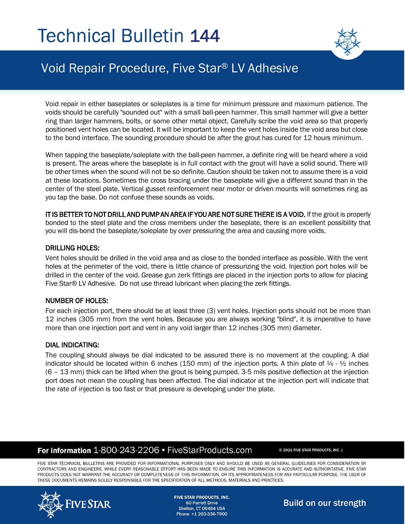# **Technical Bulletin 144**



# Void Repair Procedure, Five Star® LV Adhesive

Void repair in either baseplates or soleplates is a time for minimum pressure and maximum patience. The voids should be carefully "sounded out" with a small ball-peen hammer. This small hammer will give a better ring than larger hammers, bolts, or some other metal object. Carefully scribe the void area so that properly positioned vent holes can be located. It will be important to keep the vent holes inside the void area but close to the bond interface. The sounding procedure should be after the grout has cured for 12 hours minimum.

When tapping the baseplate/soleplate with the ball-peen hammer, a definite ring will be heard where a void is present. The areas where the baseplate is in full contact with the grout will have a solid sound. There will be other times when the sound will not be so definite. Caution should be taken not to assume there is a void at these locations. Sometimes the cross bracing under the baseplate will give a different sound than in the center of the steel plate. Vertical gusset reinforcement near motor or driven mounts will sometimes ring as you tap the base. Do not confuse these sounds as voids.

IT IS BETTER TO NOT DRILL AND PUMP AN AREA IF YOU ARE NOT SURE THERE IS A VOID. If the grout is properly bonded to the steel plate and the cross members under the baseplate, there is an excellent possibility that you will dis-bond the baseplate/soleplate by over pressuring the area and causing more voids.

#### DRILLING HOLES:

Vent holes should be drilled in the void area and as close to the bonded interface as possible. With the vent holes at the perimeter of the void, there is little chance of pressurizing the void. Injection port holes will be drilled in the center of the void. Grease gun zerk fittings are placed in the injection ports to allow for placing Five Star® LV Adhesive. Do not use thread lubricant when placing the zerk fittings.

#### NUMBER OF HOLES:

For each injection port, there should be at least three (3) vent holes. Injection ports should not be more than 12 inches (305 mm) from the vent holes. Because you are always working "blind", it is imperative to have more than one injection port and vent in any void larger than 12 inches (305 mm) diameter.

#### DIAL INDICATING:

The coupling should always be dial indicated to be assured there is no movement at the coupling. A dial indicator should be located within 6 inches (150 mm) of the injection ports. A thin plate of  $\frac{1}{4}$  -  $\frac{1}{2}$  inches (6 – 13 mm) thick can be lifted when the grout is being pumped. 3-5 mils positive deflection at the injection port does not mean the coupling has been affected. The dial indicator at the injection port will indicate that the rate of injection is too fast or that pressure is developing under the plate.

### For information 1-800-243-2206 · FiveStarProducts.com

© 2021 FIVE STAR PRODUCTS. INC. I

FIVE STAR TECHNICAL BULLETINS ARE PROVIDED FOR INFORMATIONAL PURPOSES ONLY AND SHOULD BE USED AS GENERAL GUIDELINES FOR CONSIDERATION BY CONTRACTORS AND ENGINEERS. WHILE EVERY REASONABLE EFFORT HAS BEEN MADE TO ENSURE THIS INFORMATION IS ACCURATE AND AUTHORITATIVE. FIVE STAR PRODUCTS DOES NOT WARRANT THE ACCURACY OR COMPLETENESS OF THIS INFORMATION. OR ITS APPROPRIATENESS FOR ANY PARTICULAR PURPOSE. THE USER OF THESE DOCUMENTS REMAINS SOLELY RESPONSIBLE FOR THE SPECIFICATION OF ALL METHODS, MATERIALS AND PRACTICES.



FIVE STAR PRODUCTS, INC. 60 Parrott Drive Shelton, CT 06484 USA Phone: +1 203-336-7900

# **Build on our strength**